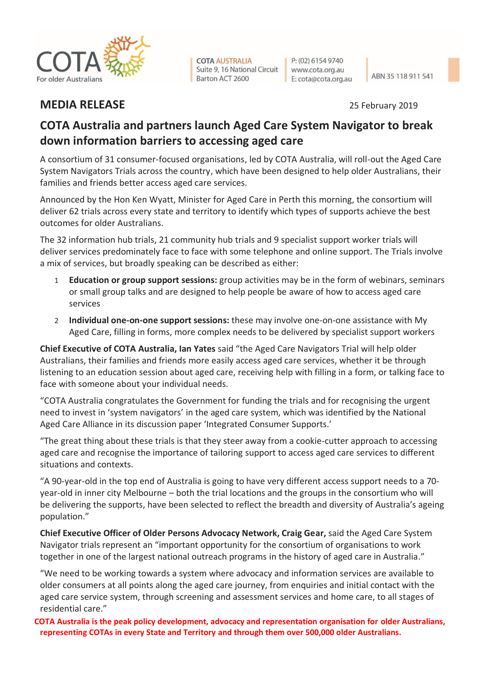

**COTA AUSTRALIA** Suite 9, 16 National Circuit Barton ACT 2600

P: (02) 6154 9740 www.cota.org.au E: cota@cota.org.au

## **MEDIA RELEASE** 25 February 2019

## **COTA Australia and partners launch Aged Care System Navigator to break down information barriers to accessing aged care**

A consortium of 31 consumer-focused organisations, led by COTA Australia, will roll-out the Aged Care System Navigators Trials across the country, which have been designed to help older Australians, their families and friends better access aged care services.

Announced by the Hon Ken Wyatt, Minister for Aged Care in Perth this morning, the consortium will deliver 62 trials across every state and territory to identify which types of supports achieve the best outcomes for older Australians.

The 32 information hub trials, 21 community hub trials and 9 specialist support worker trials will deliver services predominately face to face with some telephone and online support. The Trials involve a mix of services, but broadly speaking can be described as either:

- 1 **Education or group support sessions:** group activities may be in the form of webinars, seminars or small group talks and are designed to help people be aware of how to access aged care services
- 2 **Individual one-on-one support sessions:** these may involve one-on-one assistance with My Aged Care, filling in forms, more complex needs to be delivered by specialist support workers

**Chief Executive of COTA Australia, Ian Yates** said "the Aged Care Navigators Trial will help older Australians, their families and friends more easily access aged care services, whether it be through listening to an education session about aged care, receiving help with filling in a form, or talking face to face with someone about your individual needs.

"COTA Australia congratulates the Government for funding the trials and for recognising the urgent need to invest in 'system navigators' in the aged care system, which was identified by the National Aged Care Alliance in its discussion paper 'Integrated Consumer Supports.'

"The great thing about these trials is that they steer away from a cookie-cutter approach to accessing aged care and recognise the importance of tailoring support to access aged care services to different situations and contexts.

"A 90-year-old in the top end of Australia is going to have very different access support needs to a 70 year-old in inner city Melbourne – both the trial locations and the groups in the consortium who will be delivering the supports, have been selected to reflect the breadth and diversity of Australia's ageing population."

**Chief Executive Officer of Older Persons Advocacy Network, Craig Gear,** said the Aged Care System Navigator trials represent an "important opportunity for the consortium of organisations to work together in one of the largest national outreach programs in the history of aged care in Australia."

"We need to be working towards a system where advocacy and information services are available to older consumers at all points along the aged care journey, from enquiries and initial contact with the aged care service system, through screening and assessment services and home care, to all stages of residential care."

**COTA Australia is the peak policy development, advocacy and representation organisation for older Australians, representing COTAs in every State and Territory and through them over 500,000 older Australians.**